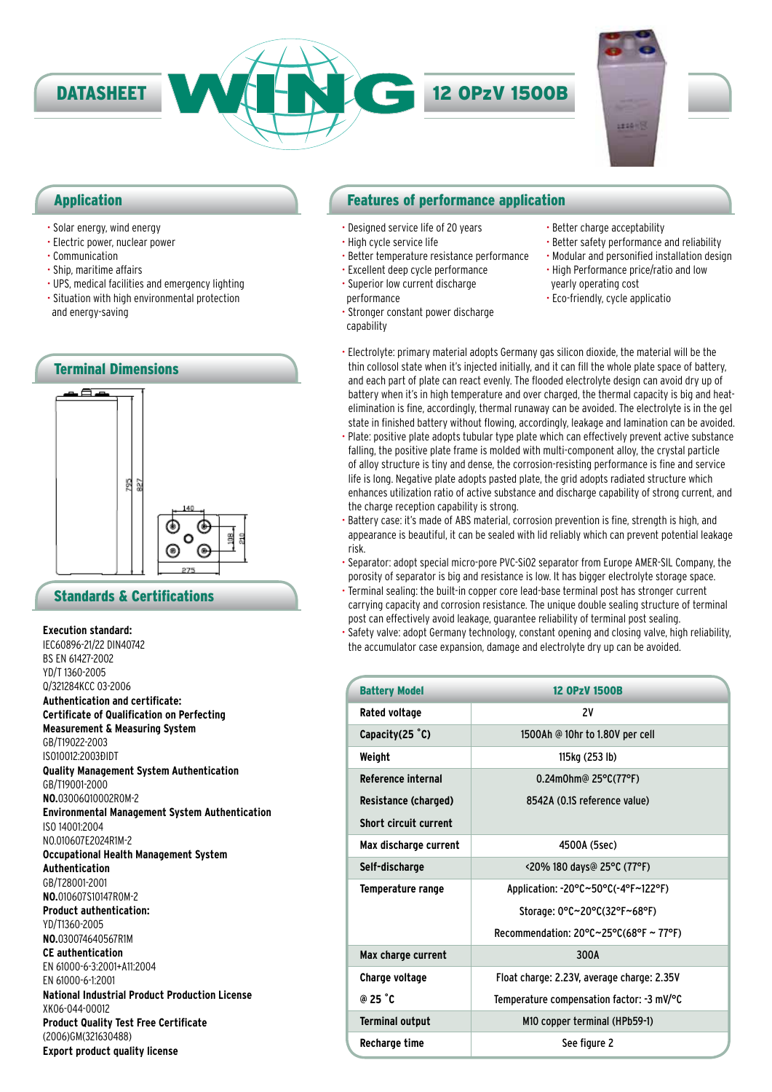

### Application

- Solar energy, wind energy
- Electric power, nuclear power
- Communication
- Ship, maritime affairs
- UPS, medical facilities and emergency lighting
- Situation with high environmental protection and energy-saving



### Standards & Certifications

### **Execution standard:**

IEC60896-21/22 DIN40742 BS EN 61427-2002 YD/T 1360-2005 Q/321284KCC 03-2006 **Authentication and certificate: Certificate of Qualification on Perfecting Measurement & Measuring System** GB/T19022-2003 IS010012:2003ĐIDT **Quality Management System Authentication** GB/T19001-2000 **NO.**03006Q10002R0M-2 **Environmental Management System Authentication** ISO 14001:2004 NO.010607E2024R1M-2 **Occupational Health Management System Authentication** GB/T28001-2001 **NO.**010607S10147R0M-2 **Product authentication:** YD/T1360-2005 **NO.**030074640567R1M **CE authentication** EN 61000-6-3:2001+A11:2004 EN 61000-6-1:2001 **National Industrial Product Production License** XK06-044-00012 **Product Quality Test Free Certificate** (2006)GM(321630488) **Export product quality license**

### Features of performance application

- Designed service life of 20 years
- High cycle service life

capability

- Better temperature resistance performance
- Excellent deep cycle performance • Superior low current discharge
- performance • Stronger constant power discharge
- Better safety performance and reliability • Modular and personified installation design
	- High Performance price/ratio and low yearly operating cost
	- Eco-friendly, cycle applicatio

• Better charge acceptability

- Electrolyte: primary material adopts Germany gas silicon dioxide, the material will be the thin collosol state when it's injected initially, and it can fill the whole plate space of battery, and each part of plate can react evenly. The flooded electrolyte design can avoid dry up of battery when it's in high temperature and over charged, the thermal capacity is big and heatelimination is fine, accordingly, thermal runaway can be avoided. The electrolyte is in the gel state in finished battery without flowing, accordingly, leakage and lamination can be avoided.
- Plate: positive plate adopts tubular type plate which can effectively prevent active substance falling, the positive plate frame is molded with multi-component alloy, the crystal particle of alloy structure is tiny and dense, the corrosion-resisting performance is fine and service life is long. Negative plate adopts pasted plate, the grid adopts radiated structure which enhances utilization ratio of active substance and discharge capability of strong current, and the charge reception capability is strong.
- Battery case: it's made of ABS material, corrosion prevention is fine, strength is high, and appearance is beautiful, it can be sealed with lid reliably which can prevent potential leakage risk.
- Separator: adopt special micro-pore PVC-SiO2 separator from Europe AMER-SIL Company, the porosity of separator is big and resistance is low. It has bigger electrolyte storage space.
- Terminal sealing: the built-in copper core lead-base terminal post has stronger current carrying capacity and corrosion resistance. The unique double sealing structure of terminal post can effectively avoid leakage, guarantee reliability of terminal post sealing.
- Safety valve: adopt Germany technology, constant opening and closing valve, high reliability, the accumulator case expansion, damage and electrolyte dry up can be avoided.

| <b>Battery Model</b>         | <b>12 OPzV 1500B</b>                                         |  |
|------------------------------|--------------------------------------------------------------|--|
| Rated voltage                | 2٧                                                           |  |
| Capacity $(25 \degree C)$    | 1500Ah @ 10hr to 1.80V per cell                              |  |
| Weight                       | 115kg (253 lb)                                               |  |
| <b>Reference internal</b>    | 0.24m0hm@ 25°C(77°F)                                         |  |
| Resistance (charged)         | 8542A (0.1S reference value)                                 |  |
| <b>Short circuit current</b> |                                                              |  |
| Max discharge current        | 4500A (5sec)                                                 |  |
| Self-discharge               | <20% 180 days@ 25°C (77°F)                                   |  |
| Temperature range            | Application: -20°C~50°C(-4°F~122°F)                          |  |
|                              | Storage: 0°C~20°C(32°F~68°F)                                 |  |
|                              | Recommendation: $20^{\circ}$ C $\sim$ 25°C(68°F $\sim$ 77°F) |  |
| Max charge current           | 300A                                                         |  |
| Charge voltage               | Float charge: 2.23V, average charge: 2.35V                   |  |
| @ 25 °C                      | Temperature compensation factor: -3 mV/°C                    |  |
| <b>Terminal output</b>       | M10 copper terminal (HPb59-1)                                |  |
| Recharge time                | See figure 2                                                 |  |